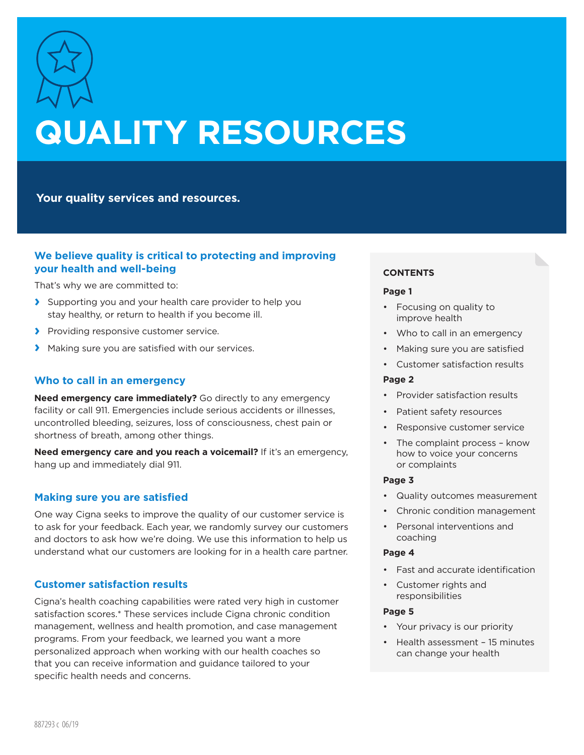

# **QUALITY RESOURCES**

**Your quality services and resources.**

# **We believe quality is critical to protecting and improving your health and well-being**

That's why we are committed to:

- **›** Supporting you and your health care provider to help you stay healthy, or return to health if you become ill.
- **›** Providing responsive customer service.
- **›** Making sure you are satisfied with our services.

# **Who to call in an emergency**

**Need emergency care immediately?** Go directly to any emergency facility or call 911. Emergencies include serious accidents or illnesses, uncontrolled bleeding, seizures, loss of consciousness, chest pain or shortness of breath, among other things.

**Need emergency care and you reach a voicemail?** If it's an emergency, hang up and immediately dial 911.

## **Making sure you are satisfied**

One way Cigna seeks to improve the quality of our customer service is to ask for your feedback. Each year, we randomly survey our customers and doctors to ask how we're doing. We use this information to help us understand what our customers are looking for in a health care partner.

## **Customer satisfaction results**

Cigna's health coaching capabilities were rated very high in customer satisfaction scores.\* These services include Cigna chronic condition management, wellness and health promotion, and case management programs. From your feedback, we learned you want a more personalized approach when working with our health coaches so that you can receive information and guidance tailored to your specific health needs and concerns.

## **CONTENTS**

## **Page 1**

- Focusing on quality to improve health
- Who to call in an emergency
- Making sure you are satisfied
- Customer satisfaction results

## **Page 2**

- Provider satisfaction results
- Patient safety resources
- Responsive customer service
- The complaint process know how to voice your concerns or complaints

## **Page 3**

- Quality outcomes measurement
- Chronic condition management
- Personal interventions and coaching

## **Page 4**

- Fast and accurate identification
- Customer rights and responsibilities

## **Page 5**

- Your privacy is our priority
- Health assessment 15 minutes can change your health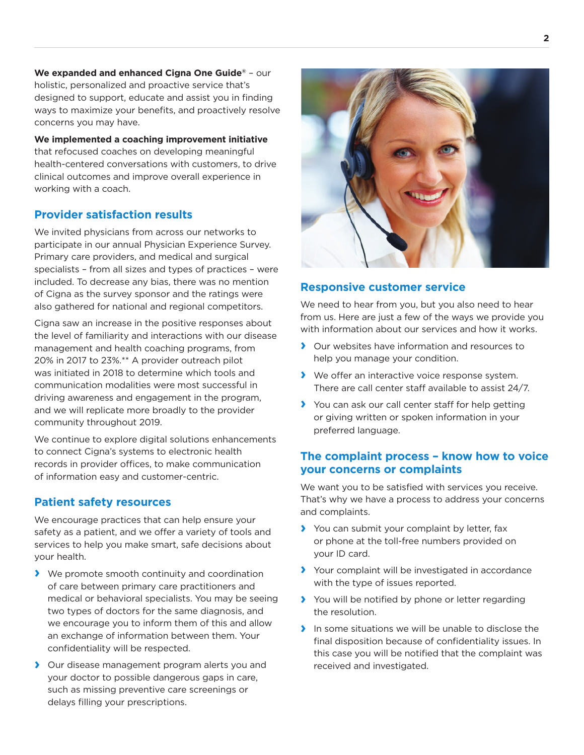**We expanded and enhanced Cigna One Guide®** – our holistic, personalized and proactive service that's designed to support, educate and assist you in finding ways to maximize your benefits, and proactively resolve concerns you may have.

**We implemented a coaching improvement initiative** that refocused coaches on developing meaningful health-centered conversations with customers, to drive clinical outcomes and improve overall experience in working with a coach.

# **Provider satisfaction results**

We invited physicians from across our networks to participate in our annual Physician Experience Survey. Primary care providers, and medical and surgical specialists – from all sizes and types of practices – were included. To decrease any bias, there was no mention of Cigna as the survey sponsor and the ratings were also gathered for national and regional competitors.

Cigna saw an increase in the positive responses about the level of familiarity and interactions with our disease management and health coaching programs, from 20% in 2017 to 23%.\*\* A provider outreach pilot was initiated in 2018 to determine which tools and communication modalities were most successful in driving awareness and engagement in the program, and we will replicate more broadly to the provider community throughout 2019.

We continue to explore digital solutions enhancements to connect Cigna's systems to electronic health records in provider offices, to make communication of information easy and customer-centric.

# **Patient safety resources**

We encourage practices that can help ensure your safety as a patient, and we offer a variety of tools and services to help you make smart, safe decisions about your health.

- **›** We promote smooth continuity and coordination of care between primary care practitioners and medical or behavioral specialists. You may be seeing two types of doctors for the same diagnosis, and we encourage you to inform them of this and allow an exchange of information between them. Your confidentiality will be respected.
- **›** Our disease management program alerts you and your doctor to possible dangerous gaps in care, such as missing preventive care screenings or delays filling your prescriptions.



## **Responsive customer service**

We need to hear from you, but you also need to hear from us. Here are just a few of the ways we provide you with information about our services and how it works.

- **›** Our websites have information and resources to help you manage your condition.
- **›** We offer an interactive voice response system. There are call center staff available to assist 24/7.
- **›** You can ask our call center staff for help getting or giving written or spoken information in your preferred language.

# **The complaint process – know how to voice your concerns or complaints**

We want you to be satisfied with services you receive. That's why we have a process to address your concerns and complaints.

- **›** You can submit your complaint by letter, fax or phone at the toll-free numbers provided on your ID card.
- **›** Your complaint will be investigated in accordance with the type of issues reported.
- **›** You will be notified by phone or letter regarding the resolution.
- **›** In some situations we will be unable to disclose the final disposition because of confidentiality issues. In this case you will be notified that the complaint was received and investigated.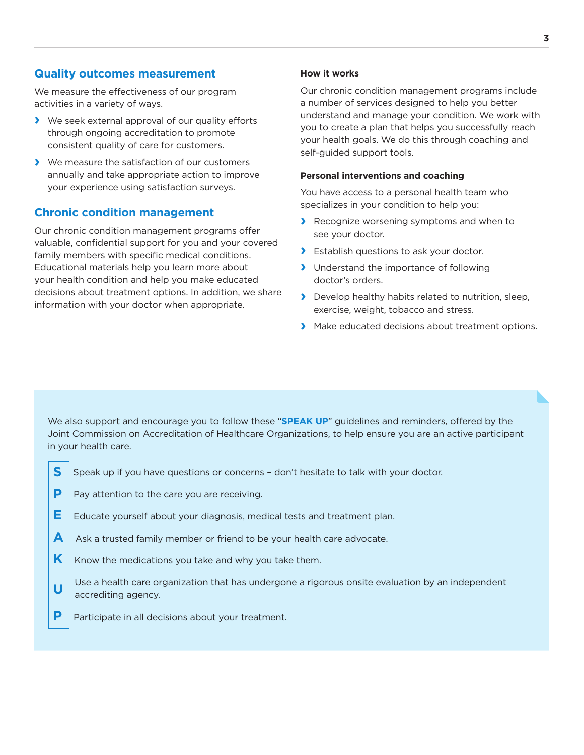## **Quality outcomes measurement**

We measure the effectiveness of our program activities in a variety of ways.

- **›** We seek external approval of our quality efforts through ongoing accreditation to promote consistent quality of care for customers.
- **›** We measure the satisfaction of our customers annually and take appropriate action to improve your experience using satisfaction surveys.

## **Chronic condition management**

Our chronic condition management programs offer valuable, confidential support for you and your covered family members with specific medical conditions. Educational materials help you learn more about your health condition and help you make educated decisions about treatment options. In addition, we share information with your doctor when appropriate.

## **How it works**

Our chronic condition management programs include a number of services designed to help you better understand and manage your condition. We work with you to create a plan that helps you successfully reach your health goals. We do this through coaching and self-guided support tools.

#### **Personal interventions and coaching**

You have access to a personal health team who specializes in your condition to help you:

- **›** Recognize worsening symptoms and when to see your doctor.
- **›** Establish questions to ask your doctor.
- **›** Understand the importance of following doctor's orders.
- **›** Develop healthy habits related to nutrition, sleep, exercise, weight, tobacco and stress.
- **›** Make educated decisions about treatment options.

We also support and encourage you to follow these "**SPEAK UP**" guidelines and reminders, offered by the Joint Commission on Accreditation of Healthcare Organizations, to help ensure you are an active participant in your health care.

- **S** Speak up if you have questions or concerns don't hesitate to talk with your doctor.
- **P** | Pay attention to the care you are receiving.
- **E E Educate yourself about your diagnosis, medical tests and treatment plan.**
- **A** Ask a trusted family member or friend to be your health care advocate.
- **K**  $\mathsf{K}$  Know the medications you take and why you take them.
- **U** Use a health care organization that has undergone a rigorous onsite evaluation by an independent **U** accrediting agency.
- **P** | Participate in all decisions about your treatment.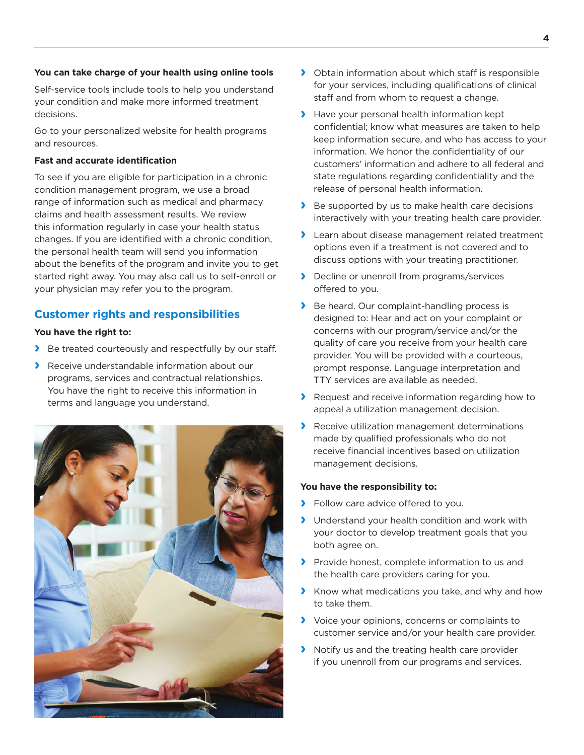#### **You can take charge of your health using online tools**

Self-service tools include tools to help you understand your condition and make more informed treatment decisions.

Go to your personalized website for health programs and resources.

#### **Fast and accurate identification**

To see if you are eligible for participation in a chronic condition management program, we use a broad range of information such as medical and pharmacy claims and health assessment results. We review this information regularly in case your health status changes. If you are identified with a chronic condition, the personal health team will send you information about the benefits of the program and invite you to get started right away. You may also call us to self-enroll or your physician may refer you to the program.

# **Customer rights and responsibilities**

#### **You have the right to:**

- **›** Be treated courteously and respectfully by our staff.
- **›** Receive understandable information about our programs, services and contractual relationships. You have the right to receive this information in terms and language you understand.



- **›** Obtain information about which staff is responsible for your services, including qualifications of clinical staff and from whom to request a change.
- **›** Have your personal health information kept confidential; know what measures are taken to help keep information secure, and who has access to your information. We honor the confidentiality of our customers' information and adhere to all federal and state regulations regarding confidentiality and the release of personal health information.
- **›** Be supported by us to make health care decisions interactively with your treating health care provider.
- **›** Learn about disease management related treatment options even if a treatment is not covered and to discuss options with your treating practitioner.
- **›** Decline or unenroll from programs/services offered to you.
- **›** Be heard. Our complaint-handling process is designed to: Hear and act on your complaint or concerns with our program/service and/or the quality of care you receive from your health care provider. You will be provided with a courteous, prompt response. Language interpretation and TTY services are available as needed.
- **›** Request and receive information regarding how to appeal a utilization management decision.
- **›** Receive utilization management determinations made by qualified professionals who do not receive financial incentives based on utilization management decisions.

## **You have the responsibility to:**

- **›** Follow care advice offered to you.
- **›** Understand your health condition and work with your doctor to develop treatment goals that you both agree on.
- **›** Provide honest, complete information to us and the health care providers caring for you.
- **›** Know what medications you take, and why and how to take them.
- **›** Voice your opinions, concerns or complaints to customer service and/or your health care provider.
- **›** Notify us and the treating health care provider if you unenroll from our programs and services.